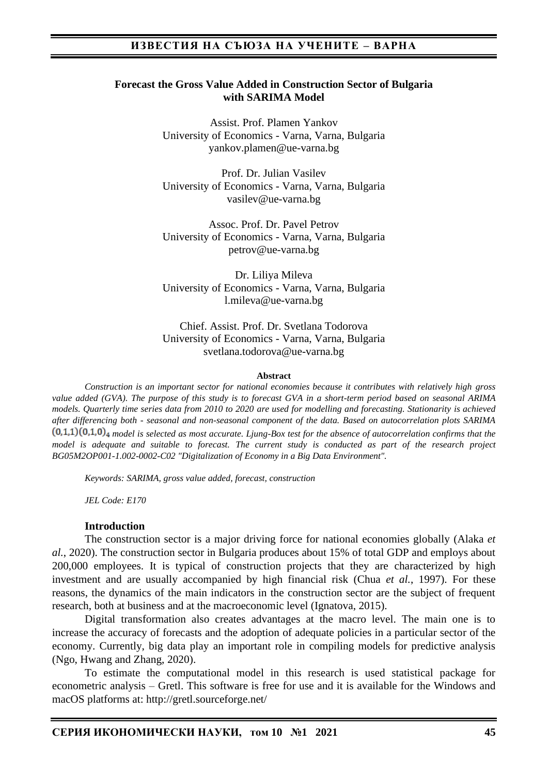#### **Forecast the Gross Value Added in Construction Sector of Bulgaria with SARIMA Model**

Assist. Prof. Plamen Yankov University of Economics - Varna, Varna, Bulgaria yankov.plamen@ue-varna.bg

Prof. Dr. Julian Vasilev University of Economics - Varna, Varna, Bulgaria vasilev@ue-varna.bg

Assoc. Prof. Dr. Pavel Petrov University of Economics - Varna, Varna, Bulgaria petrov@ue-varna.bg

Dr. Liliya Mileva University of Economics - Varna, Varna, Bulgaria l.mileva@ue-varna.bg

Chief. Assist. Prof. Dr. Svetlana Todorova University of Economics - Varna, Varna, Bulgaria svetlana.todorova@ue-varna.bg

#### **Abstract**

*Construction is an important sector for national economies because it contributes with relatively high gross value added (GVA). The purpose of this study is to forecast GVA in a short-term period based on seasonal ARIMA models. Quarterly time series data from 2010 to 2020 are used for modelling and forecasting. Stationarity is achieved after differencing both - seasonal and non-seasonal component of the data. Based on autocorrelation plots SARIMA*   $(0,1,1)(0,1,0)$ <sub>4</sub> model is selected as most accurate. Ljung-Box test for the absence of autocorrelation confirms that the *model is adequate and suitable to forecast. The current study is conducted as part of the research project BG05M2OP001-1.002-0002-C02 "Digitalization of Economy in a Big Data Environment".*

*Keywords: SARIMA, gross value added, forecast, construction*

*JEL Code: E170*

#### **Introduction**

The construction sector is a major driving force for national economies globally (Alaka *et al.*, 2020). The construction sector in Bulgaria produces about 15% of total GDP and employs about 200,000 employees. It is typical of construction projects that they are characterized by high investment and are usually accompanied by high financial risk (Chua *et al.*, 1997). For these reasons, the dynamics of the main indicators in the construction sector are the subject of frequent research, both at business and at the macroeconomic level (Ignatova, 2015).

Digital transformation also creates advantages at the macro level. The main one is to increase the accuracy of forecasts and the adoption of adequate policies in a particular sector of the economy. Currently, big data play an important role in compiling models for predictive analysis (Ngo, Hwang and Zhang, 2020).

To estimate the computational model in this research is used statistical package for econometric analysis – Gretl. This software is free for use and it is available for the Windows and macOS platforms at:<http://gretl.sourceforge.net/>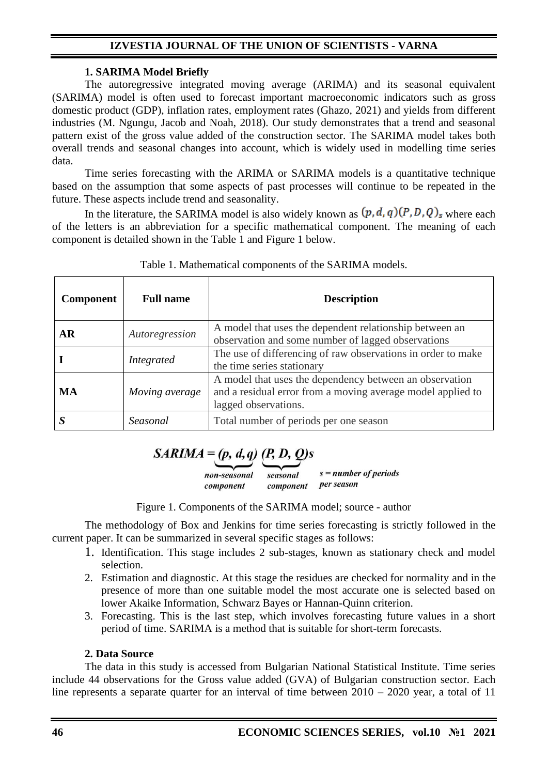### **1. SARIMA Model Briefly**

The autoregressive integrated moving average (ARIMA) and its seasonal equivalent (SARIMA) model is often used to forecast important macroeconomic indicators such as gross domestic product (GDP), inflation rates, employment rates (Ghazo, 2021) and yields from different industries (M. Ngungu, Jacob and Noah, 2018). Our study demonstrates that а trend and seasonal pattern exist of the gross value added of the construction sector. The SARIMA model takes both overall trends and seasonal changes into account, which is widely used in modelling time series data.

Time series forecasting with the ARIMA or SARIMA models is a quantitative technique based on the assumption that some aspects of past processes will continue to be repeated in the future. These aspects include trend and seasonality.

In the literature, the SARIMA model is also widely known as  $(p, d, q)(P, D, Q)$ <sub>s</sub> where each of the letters is an abbreviation for a specific mathematical component. The meaning of each component is detailed shown in the Table 1 and Figure 1 below.

| <b>Component</b> | <b>Full name</b> | <b>Description</b>                                                                                                                             |
|------------------|------------------|------------------------------------------------------------------------------------------------------------------------------------------------|
| AR               | Autoregression   | A model that uses the dependent relationship between an<br>observation and some number of lagged observations                                  |
|                  | Integrated       | The use of differencing of raw observations in order to make<br>the time series stationary                                                     |
| MA               | Moving average   | A model that uses the dependency between an observation<br>and a residual error from a moving average model applied to<br>lagged observations. |
|                  | Seasonal         | Total number of periods per one season                                                                                                         |

#### Table 1. Mathematical components of the SARIMA models.

# $SARIMA = (p, d, q)$  (P, D, Q)s

 $s = number of periods$ non-seasonal seasonal component per season component

Figure 1. Components of the SARIMA model; source - author

The methodology of Box and Jenkins for time series forecasting is strictly followed in the current paper. It can be summarized in several specific stages as follows:

- 1. Identification. This stage includes 2 sub-stages, known as stationary check and model selection.
- 2. Estimation and diagnostic. At this stage the residues are checked for normality and in the presence of more than one suitable model the most accurate one is selected based on lower Akaike Information, Schwarz Bayes or Hannan-Quinn criterion.
- 3. Forecasting. This is the last step, which involves forecasting future values in a short period of time. SARIMA is a method that is suitable for short-term forecasts.

## **2. Data Source**

The data in this study is accessed from Bulgarian National Statistical Institute. Time series include 44 observations for the Gross value added (GVA) of Bulgarian construction sector. Each line represents a separate quarter for an interval of time between  $2010 - 2020$  year, a total of 11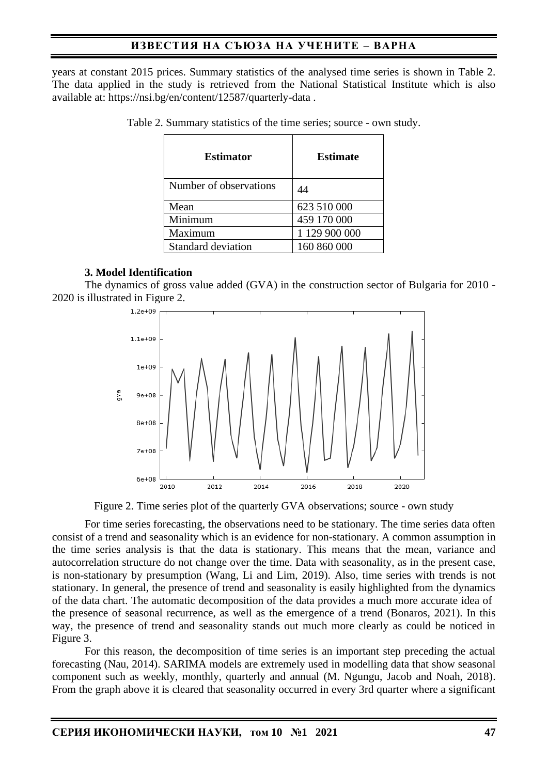years at constant 2015 prices. Summary statistics of the analysed time series is shown in Table 2. The data applied in the study is retrieved from the National Statistical Institute which is also available at:<https://nsi.bg/en/content/12587/quarterly-data> .

| <b>Estimator</b>       | <b>Estimate</b> |  |
|------------------------|-----------------|--|
| Number of observations | 44              |  |
| Mean                   | 623 510 000     |  |
| Minimum                | 459 170 000     |  |
| Maximum                | 1 129 900 000   |  |
| Standard deviation     | 160 860 000     |  |

Table 2. Summary statistics of the time series; source - own study.

#### **3. Model Identification**

The dynamics of gross value added (GVA) in the construction sector of Bulgaria for 2010 - 2020 is illustrated in Figure 2.



Figure 2. Time series plot of the quarterly GVA observations; source - own study

For time series forecasting, the observations need to be stationary. The time series data often consist of a trend and seasonality which is an evidence for non-stationary. A common assumption in the time series analysis is that the data is stationary. This means that the mean, variance and autocorrelation structure do not change over the time. Data with seasonality, as in the present case, is non-stationary by presumption (Wang, Li and Lim, 2019). Also, time series with trends is not stationary. In general, the presence of trend and seasonality is easily highlighted from the dynamics of the data chart. The automatic decomposition of the data provides a much more accurate idea of the presence of seasonal recurrence, as well as the emergence of a trend (Bonaros, 2021). In this way, the presence of trend and seasonality stands out much more clearly as could be noticed in Figure 3.

For this reason, the decomposition of time series is an important step preceding the actual forecasting (Nau, 2014). SARIMA models are extremely used in modelling data that show seasonal component such as weekly, monthly, quarterly and annual (M. Ngungu, Jacob and Noah, 2018). From the graph above it is cleared that seasonality occurred in every 3rd quarter where a significant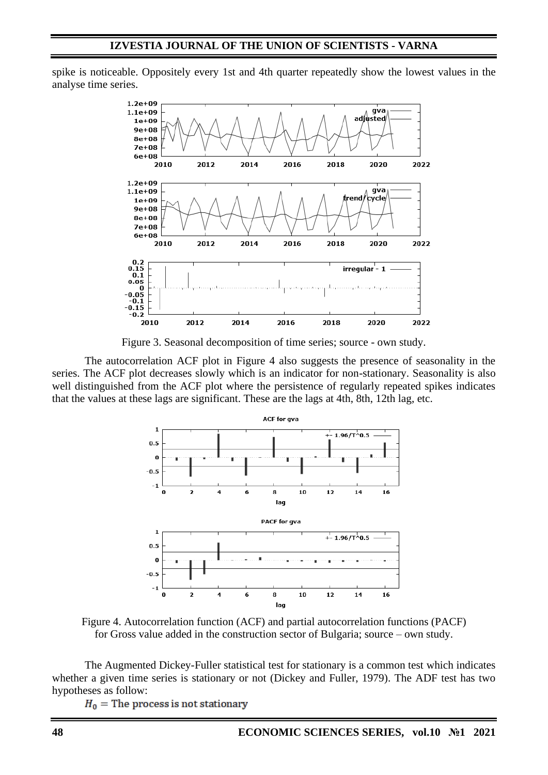spike is noticeable. Oppositely every 1st and 4th quarter repeatedly show the lowest values in the analyse time series.



Figure 3. Seasonal decomposition of time series; source - own study.

The autocorrelation ACF plot in Figure 4 also suggests the presence of seasonality in the series. The ACF plot decreases slowly which is an indicator for non-stationary. Seasonality is also well distinguished from the ACF plot where the persistence of regularly repeated spikes indicates that the values at these lags are significant. These are the lags at 4th, 8th, 12th lag, etc.



Figure 4. Autocorrelation function (ACF) and partial autocorrelation functions (PACF) for Gross value added in the construction sector of Bulgaria; source – own study.

The Augmented Dickey-Fuller statistical test for stationary is a common test which indicates whether a given time series is stationary or not (Dickey and Fuller, 1979). The ADF test has two hypotheses as follow:

 $H_0$  = The process is not stationary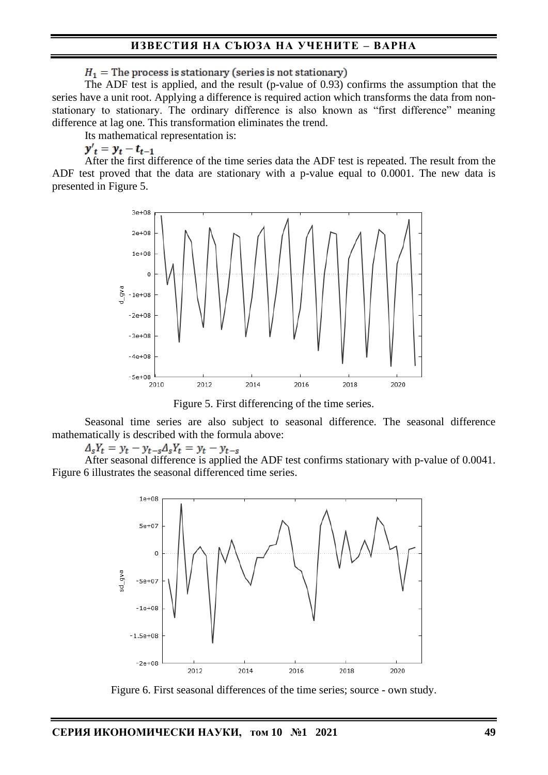$H_1$  = The process is stationary (series is not stationary)

The ADF test is applied, and the result (p-value of 0.93) confirms the assumption that the series have a unit root. Applying a difference is required action which transforms the data from nonstationary to stationary. The ordinary difference is also known as "first difference" meaning difference at lag one. This transformation eliminates the trend.

Its mathematical representation is:

$$
y_t' = y_t - t_{t-1}
$$

After the first difference of the time series data the ADF test is repeated. The result from the ADF test proved that the data are stationary with a p-value equal to 0.0001. The new data is presented in Figure 5.



Figure 5. First differencing of the time series.

Seasonal time series are also subject to seasonal difference. The seasonal difference mathematically is described with the formula above:

 $\Delta_s Y_t = y_t - y_{t-s} \Delta_s Y_t = y_t - y_{t-s}$ 

After seasonal difference is applied the ADF test confirms stationary with p-value of 0.0041. Figure 6 illustrates the seasonal differenced time series.



Figure 6. First seasonal differences of the time series; source - own study.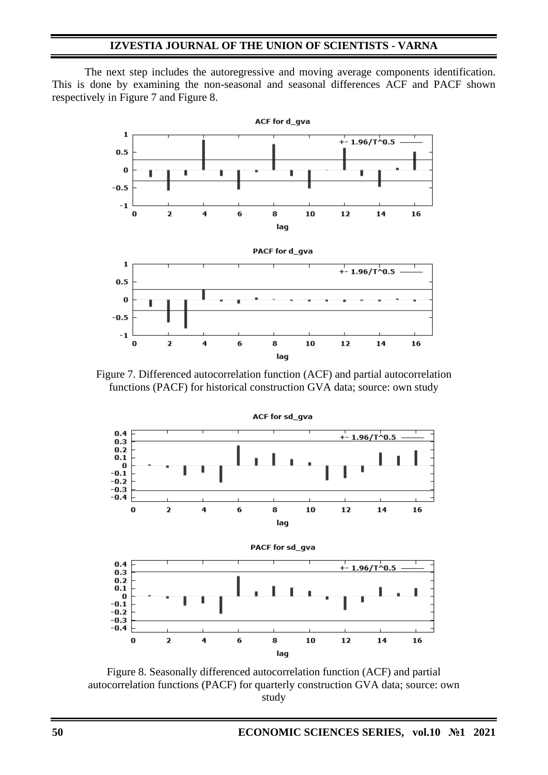The next step includes the autoregressive and moving average components identification. This is done by examining the non-seasonal and seasonal differences ACF and PACF shown respectively in Figure 7 and Figure 8.



Figure 7. Differenced autocorrelation function (ACF) and partial autocorrelation functions (PACF) for historical construction GVA data; source: own study



Figure 8. Seasonally differenced autocorrelation function (ACF) and partial autocorrelation functions (PACF) for quarterly construction GVA data; source: own study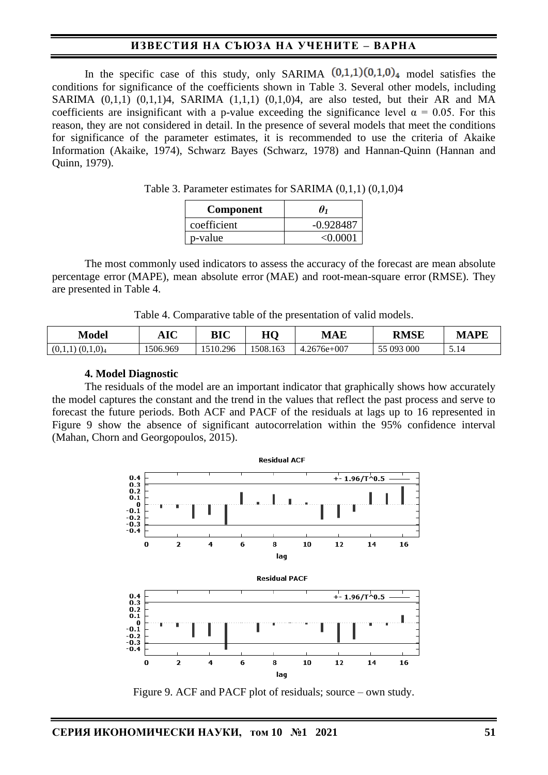In the specific case of this study, only SARIMA  $(0,1,1)(0,1,0)<sub>4</sub>$  model satisfies the conditions for significance of the coefficients shown in Table 3. Several other models, including SARIMA  $(0,1,1)$   $(0,1,1)4$ , SARIMA  $(1,1,1)$   $(0,1,0)4$ , are also tested, but their AR and MA coefficients are insignificant with a p-value exceeding the significance level  $\alpha = 0.05$ . For this reason, they are not considered in detail. In the presence of several models that meet the conditions for significance of the parameter estimates, it is recommended to use the criteria of Akaike Information (Akaike, 1974), Schwarz Bayes (Schwarz, 1978) and Hannan-Quinn (Hannan and Quinn, 1979).

| Table 3. Parameter estimates for SARIMA $(0,1,1)$ $(0,1,0)4$ |  |  |  |  |
|--------------------------------------------------------------|--|--|--|--|
|--------------------------------------------------------------|--|--|--|--|

| <b>Component</b> | $\theta_1$  |
|------------------|-------------|
| coefficient      | $-0.928487$ |
| p-value          | < 0.0001    |

The most commonly used indicators to assess the accuracy of the forecast are mean absolute percentage error (MAPE), mean absolute error (MAE) and root-mean-square error (RMSE). They are presented in Table 4.

Table 4. Comparative table of the presentation of valid models.

| Model                           | $\bf AIC$ | BIC      | HQ       | <b>MAE</b>    | <b>RMSE</b> | MAPE |
|---------------------------------|-----------|----------|----------|---------------|-------------|------|
| (0,1,0) <sub>4</sub><br>(0,1,1) | 1506.969  | 1510.296 | 1508.163 | $4.2676e+007$ | 55 093 000  | 14   |

#### **4. Model Diagnostic**

The residuals of the model are an important indicator that graphically shows how accurately the model captures the constant and the trend in the values that reflect the past process and serve to forecast the future periods. Both ACF and PACF of the residuals at lags up to 16 represented in Figure 9 show the absence of significant autocorrelation within the 95% confidence interval (Mahan, Chorn and Georgopoulos, 2015).



Figure 9. ACF and PACF plot of residuals; source – own study.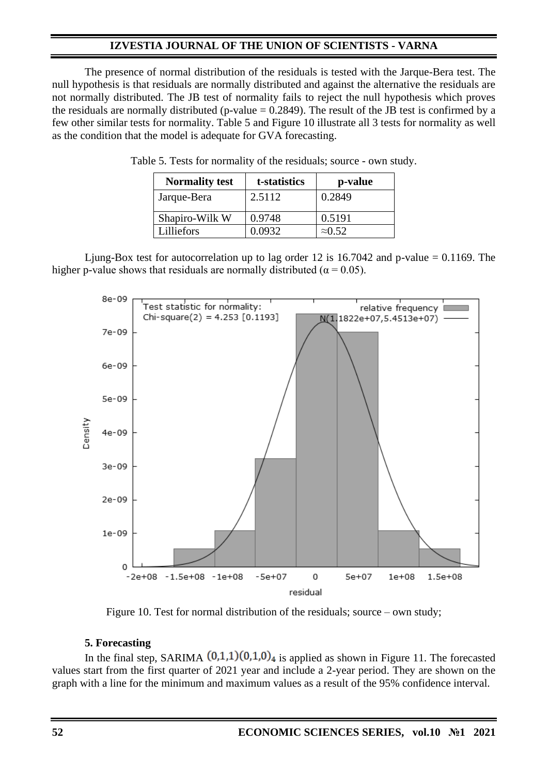The presence of normal distribution of the residuals is tested with the Jarque-Bera test. The null hypothesis is that residuals are normally distributed and against the alternative the residuals are not normally distributed. The JB test of normality fails to reject the null hypothesis which proves the residuals are normally distributed (p-value  $= 0.2849$ ). The result of the JB test is confirmed by a few other similar tests for normality. Table 5 and Figure 10 illustrate all 3 tests for normality as well as the condition that the model is adequate for GVA forecasting.

| <b>Normality test</b> | t-statistics | p-value        |
|-----------------------|--------------|----------------|
| Jarque-Bera           | 2.5112       | 0.2849         |
| Shapiro-Wilk W        | 0.9748       | 0.5191         |
| Lilliefors            | 0.0932       | $\approx 0.52$ |

Table 5. Tests for normality of the residuals; source - own study.

Ljung-Box test for autocorrelation up to lag order 12 is 16.7042 and p-value  $= 0.1169$ . The higher p-value shows that residuals are normally distributed ( $\alpha$  = 0.05).



Figure 10. Test for normal distribution of the residuals; source – own study;

## **5. Forecasting**

In the final step, SARIMA  $(0,1,1)(0,1,0)_4$  is applied as shown in Figure 11. The forecasted values start from the first quarter of 2021 year and include a 2-year period. They are shown on the graph with a line for the minimum and maximum values as a result of the 95% confidence interval.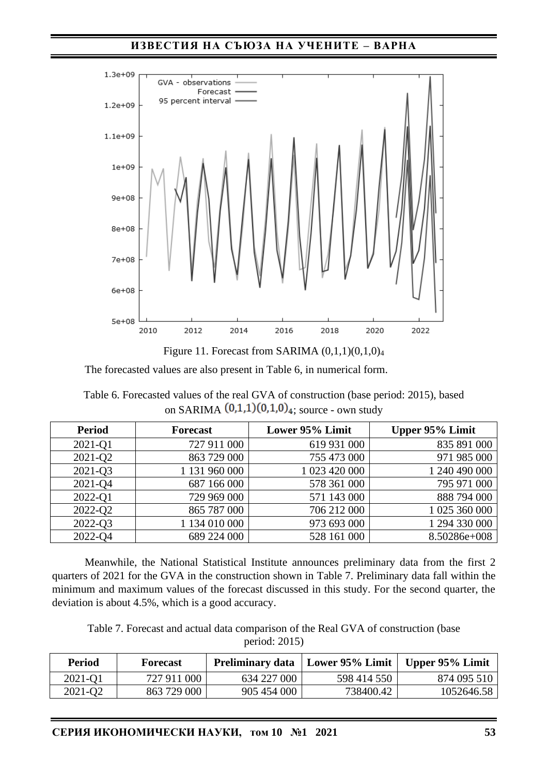



The forecasted values are also present in Table 6, in numerical form.

Table 6. Forecasted values of the real GVA of construction (base period: 2015), based on SARIMA  $(0,1,1)(0,1,0)_4$ ; source - own study

| <b>Period</b> | <b>Forecast</b> | Lower 95% Limit | Upper 95% Limit |
|---------------|-----------------|-----------------|-----------------|
| 2021-Q1       | 727 911 000     | 619 931 000     | 835 891 000     |
| 2021-Q2       | 863 729 000     | 755 473 000     | 971 985 000     |
| 2021-Q3       | 1 131 960 000   | 1 023 420 000   | 1 240 490 000   |
| 2021-Q4       | 687 166 000     | 578 361 000     | 795 971 000     |
| 2022-Q1       | 729 969 000     | 571 143 000     | 888 794 000     |
| 2022-Q2       | 865 787 000     | 706 212 000     | 1 025 360 000   |
| 2022-Q3       | 1 134 010 000   | 973 693 000     | 1 294 330 000   |
| 2022-Q4       | 689 224 000     | 528 161 000     | 8.50286e+008    |

Meanwhile, the National Statistical Institute announces preliminary data from the first 2 quarters of 2021 for the GVA in the construction shown in Table 7. Preliminary data fall within the minimum and maximum values of the forecast discussed in this study. For the second quarter, the deviation is about 4.5%, which is a good accuracy.

Table 7. Forecast and actual data comparison of the Real GVA of construction (base period: 2015)

| <b>Period</b> | Forecast    | <b>Preliminary data</b> | Lower 95% Limit | Upper 95% Limit |
|---------------|-------------|-------------------------|-----------------|-----------------|
| 2021-Q1       | 727 911 000 | 634 227 000             | 598 414 550     | 874 095 510     |
| 2021-Q2       | 863 729 000 | 905 454 000             | 738400.42       | 1052646.58      |